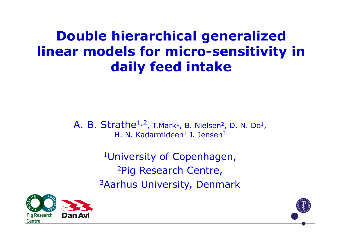### **Double hierarchical generalized linear models for micro-sensitivity in daily feed intake**

A. B. Strathe<sup>1,2</sup>, T.Mark<sup>1</sup>, B. Nielsen<sup>2</sup>, D. N. Do<sup>1</sup>, H. N. Kadarmideen<sup>1</sup> J. Jensen<sup>3</sup>

> 1University of Copenhagen, 2Pig Research Centre, 3Aarhus University, Denmark



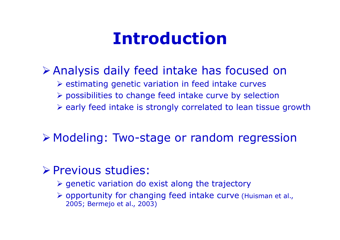## **Introduction**

#### Analysis daily feed intake has focused on

- $\triangleright$  estimating genetic variation in feed intake curves
- possibilities to change feed intake curve by selection
- $\triangleright$  early feed intake is strongly correlated to lean tissue growth

### Modeling: Two-stage or random regression

#### **Previous studies:**

- $\triangleright$  genetic variation do exist along the trajectory
- opportunity for changing feed intake curve (Huisman et al., 2005; Bermejo et al., 2003)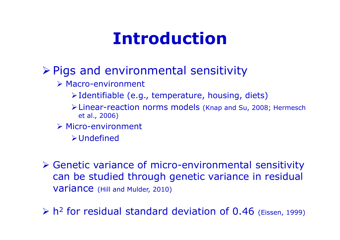# **Introduction**

#### $\triangleright$  Pigs and environmental sensitivity

- Macro-environment
	- $\triangleright$  Identifiable (e.g., temperature, housing, diets)
	- Linear-reaction norms models (Knap and Su, 2008; Hermesch et al., 2006)
- Micro-environment
	- Undefined
- Genetic variance of micro-environmental sensitivity can be studied through genetic variance in residual variance (Hill and Mulder, 2010)
- $> h$ <sup>2</sup> for residual standard deviation of 0.46 (Eissen, 1999)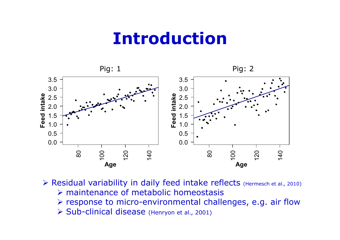### **Introduction**



- ▶ Residual variability in daily feed intake reflects (Hermesch et al., 2010)  $\triangleright$  maintenance of metabolic homeostasis
	- $\triangleright$  response to micro-environmental challenges, e.g. air flow
	- ▶ Sub-clinical disease (Henryon et al., 2001)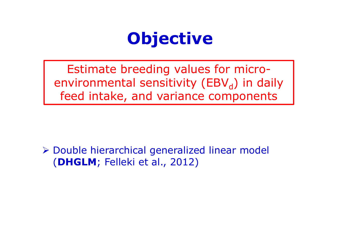

Estimate breeding values for microenvironmental sensitivity (EBV $_d$ ) in daily feed intake, and variance components

 Double hierarchical generalized linear model (**DHGLM**; Felleki et al., 2012)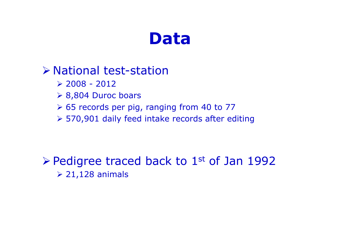### **Data**

#### National test-station

- $\geq$  2008 2012
- 8,804 Duroc boars
- 65 records per pig, ranging from 40 to 77
- 570,901 daily feed intake records after editing

 $\triangleright$  Pedigree traced back to 1st of Jan 1992  $\geq 21,128$  animals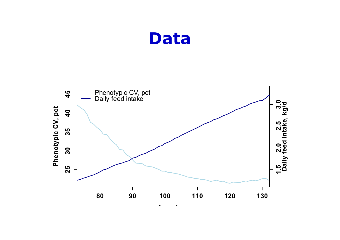### **Data**

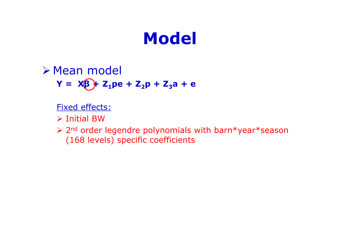#### Mean model **Y** =  $X(β) + Z_1pe + Z_2p + Z_3a + e$

Fixed effects:

 $\triangleright$  Initial BW

> 2<sup>nd</sup> order legendre polynomials with barn\*year\*season (168 levels) specific coefficients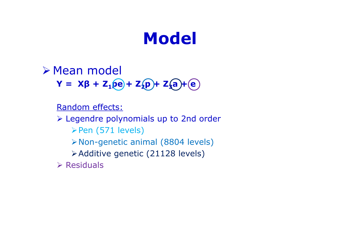Mean model **Y** =  $X\beta$  + Z<sub>1</sub>pe + Z<sub>2</sub>p + Z<sub>2</sub>a + (e)

Random effects:

 Legendre polynomials up to 2nd order  $\triangleright$  Pen (571 levels) Non-genetic animal (8804 levels) Additive genetic (21128 levels)

 $\triangleright$  Residuals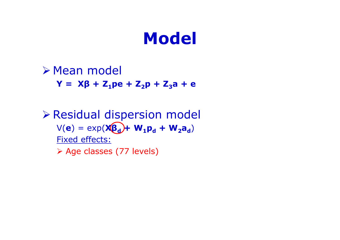Mean model **Y** =  $X\beta$  + Z<sub>1</sub>pe + Z<sub>2</sub>p + Z<sub>3</sub>a + e Residual dispersion model  $V(\mathbf{e}) = \exp(\mathbf{X}\mathbf{\beta_d}) + \mathbf{W_1}\mathbf{p_d} + \mathbf{W_2}\mathbf{a_d}$ Fixed effects: Age classes (77 levels)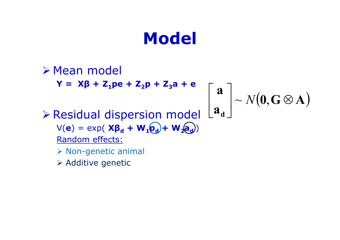Mean model **Y** =  $X\beta$  + Z<sub>1</sub>pe + Z<sub>2</sub>p + Z<sub>3</sub>a + e Residual dispersion model  $V(\mathbf{e}) = \exp(\mathbf{X}\mathbf{\beta_d} + \mathbf{W}_1\mathbf{\varrho_d}) + \mathbf{W}_2\mathbf{\varrho_d})$ Random effects:  $\triangleright$  Non-genetic animal  $\triangleright$  Additive genetic  $\big(\mathbf{0},\mathbf{G}\mathop{\otimes}\mathbf{A}\big)$ **a a**  $\begin{bmatrix} \mathbf{a} \\ \mathbf{a_d} \end{bmatrix} \sim N(\mathbf{0}, \mathbf{G} \otimes$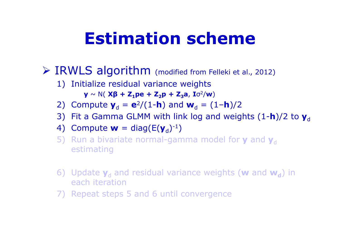# **Estimation scheme**

- IRWLS algorithm (modified from Felleki et al., 2012)
	- 1) Initialize residual variance weights

 ${\bf y} \sim N$ ( Xβ + Z<sub>1</sub>pe + Z<sub>2</sub>p + Z<sub>3</sub>a, I $\sigma^2 /$ w)

- 2) Compute  $y_d = e^2/(1-h)$  and  $w_d = (1-h)/2$
- 3) Fit a Gamma GLMM with link log and weights (1-**h**)/2 to  $\mathbf{y}_{\text{d}}$
- 4) Compute  $\mathbf{w} = \text{diag}(\mathsf{E}(\mathbf{y}_{\text{d}})^{-1})$
- 5) Run a bivariate normal-gamma model for **y** and  $\mathbf{y}_\text{d}$ estimating
- 6) Update  $y_d$  and residual variance weights (w and  $w_d$ ) in each iteration
- 7) Repeat steps 5 and 6 until convergence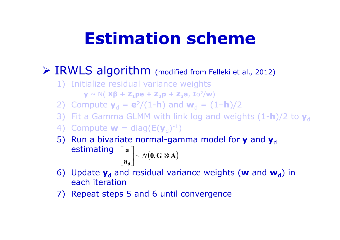# **Estimation scheme**

#### IRWLS algorithm (modified from Felleki et al., 2012)

1) Initialize residual variance weights

**y** ~ N( **Xβ + Z** $_1$ **pe + Z** $_2$ **p + Z** $_3$ **a, I** $\sigma^2$ **/w)** 

2) Compute  $y_d = e^2/(1-h)$  and  $w_d = (1-h)/2$ 

- 3) Fit a Gamma GLMM with link log and weights (1-**h**)/2 to  $\mathbf{y}_\text{d}$
- 4) Compute  $\mathbf{w} = \text{diag}(\mathsf{E}(\mathbf{y}_{\mathsf{d}})^{-1})$
- 5) Run a bivariate normal-gamma model for **y** and  $\mathbf{y}_d$ estimating  $\begin{bmatrix} a \\ a \end{bmatrix} \sim N(\mathbf{0}, \mathbf{G} \otimes \mathbf{A})$ **a d** $\vert \sim N(0, \mathbf{G} \otimes$   $\begin{bmatrix} a \\ c \end{bmatrix}$  $\overline{\phantom{a}}$  $\begin{bmatrix} \mathbf{a} \end{bmatrix} \sim N(\mathbf{0},$
- 6) Update  $y_d$  and residual variance weights (w and  $w_d$ ) in each iteration
- 7) Repeat steps 5 and 6 until convergence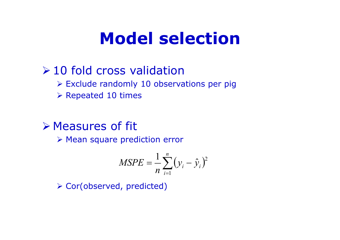## **Model selection**

#### $\geq 10$  fold cross validation

- $\triangleright$  Exclude randomly 10 observations per pig
- $\triangleright$  Repeated 10 times

#### Measures of fit

Mean square prediction error

$$
MSPE = \frac{1}{n} \sum_{i=1}^{n} (y_i - \hat{y}_i)^2
$$

Cor(observed, predicted)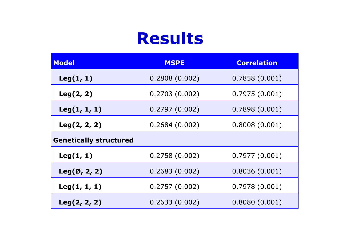### **Results**

| <b>Model</b>                  | <b>MSPE</b>   | <b>Correlation</b> |
|-------------------------------|---------------|--------------------|
| Leg(1, 1)                     | 0.2808(0.002) | 0.7858(0.001)      |
| Leg(2, 2)                     | 0.2703(0.002) | 0.7975(0.001)      |
| Leg(1, 1, 1)                  | 0.2797(0.002) | 0.7898(0.001)      |
| Leg(2, 2, 2)                  | 0.2684(0.002) | 0.8008(0.001)      |
| <b>Genetically structured</b> |               |                    |
| Leg(1, 1)                     | 0.2758(0.002) | 0.7977(0.001)      |
| $Leg(\emptyset, 2, 2)$        | 0.2683(0.002) | 0.8036(0.001)      |
| Leg(1, 1, 1)                  | 0.2757(0.002) | 0.7978(0.001)      |
| Leg(2, 2, 2)                  | 0.2633(0.002) | 0.8080(0.001)      |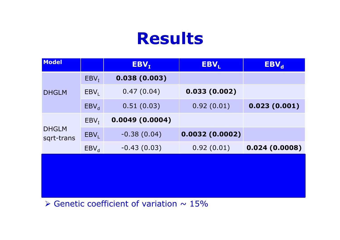## **Results**

| Model                      |           | EBV <sub>I</sub> | EBV <sub>L</sub> | $EBV_d$       |  |
|----------------------------|-----------|------------------|------------------|---------------|--|
| <b>DHGLM</b>               | $EBV_I$   | 0.038(0.003)     |                  |               |  |
|                            | $EBV_L$   | 0.47(0.04)       | 0.033(0.002)     |               |  |
|                            | $EBV_{d}$ | 0.51(0.03)       | 0.92(0.01)       | 0.023(0.001)  |  |
| <b>DHGLM</b><br>sqrt-trans | $EBV_I$   | 0.0049(0.0004)   |                  |               |  |
|                            | $EBV_L$   | $-0.38(0.04)$    | 0.0032(0.0002)   |               |  |
|                            | $EBV_{d}$ | $-0.43(0.03)$    | 0.92(0.01)       | 0.024(0.0008) |  |
|                            |           |                  |                  |               |  |
|                            |           |                  |                  |               |  |
|                            |           |                  |                  |               |  |

 $\triangleright$  Genetic coefficient of variation  $\sim$  15%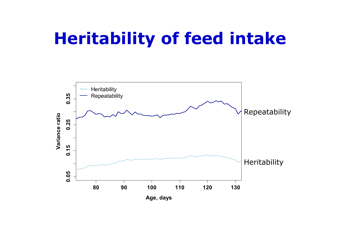## **Heritability of feed intake**

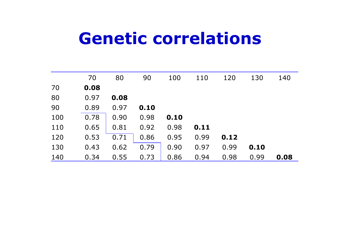### **Genetic correlations**

|     | 70   | 80   | 90   | 100  | 110  | 120  | 130  | 140  |
|-----|------|------|------|------|------|------|------|------|
| 70  | 0.08 |      |      |      |      |      |      |      |
| 80  | 0.97 | 0.08 |      |      |      |      |      |      |
| 90  | 0.89 | 0.97 | 0.10 |      |      |      |      |      |
| 100 | 0.78 | 0.90 | 0.98 | 0.10 |      |      |      |      |
| 110 | 0.65 | 0.81 | 0.92 | 0.98 | 0.11 |      |      |      |
| 120 | 0.53 | 0.71 | 0.86 | 0.95 | 0.99 | 0.12 |      |      |
| 130 | 0.43 | 0.62 | 0.79 | 0.90 | 0.97 | 0.99 | 0.10 |      |
| 140 | 0.34 | 0.55 | 0.73 | 0.86 | 0.94 | 0.98 | 0.99 | 0.08 |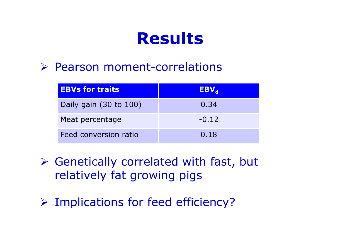### **Results**

#### Pearson moment-correlations

| <b>EBVs for traits</b> | $EBV_{d}$ |
|------------------------|-----------|
| Daily gain (30 to 100) | 0.34      |
| Meat percentage        | $-0.12$   |
| Feed conversion ratio  | 0.18      |

- Genetically correlated with fast, but relatively fat growing pigs
- Implications for feed efficiency?